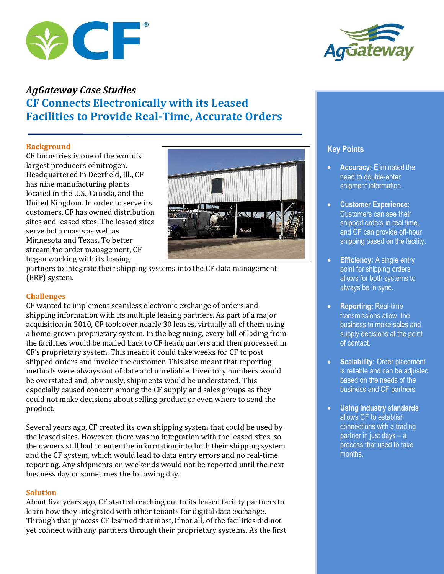



# *AgGateway Case Studies*  **CF Connects Electronically with its Leased Facilities to Provide Real-Time, Accurate Orders**

## **Background**

CF Industries is one of the world's largest producers of nitrogen. Headquartered in Deerfield, Ill., CF has nine manufacturing plants located in the U.S., Canada, and the United Kingdom. In order to serve its customers, CF has owned distribution sites and leased sites. The leased sites serve both coasts as well as Minnesota and Texas. To better streamline order management, CF began working with its leasing



partners to integrate their shipping systems into the CF data management (ERP) system.

# **Challenges**

CF wanted to implement seamless electronic exchange of orders and shipping information with its multiple leasing partners. As part of a major acquisition in 2010, CF took over nearly 30 leases, virtually all of them using a home-grown proprietary system. In the beginning, every bill of lading from the facilities would be mailed back to CF headquarters and then processed in CF's proprietary system. This meant it could take weeks for CF to post shipped orders and invoice the customer. This also meant that reporting methods were always out of date and unreliable. Inventory numbers would be overstated and, obviously, shipments would be understated. This especially caused concern among the CF supply and sales groups as they could not make decisions about selling product or even where to send the product.

Several years ago, CF created its own shipping system that could be used by the leased sites. However, there was no integration with the leased sites, so the owners still had to enter the information into both their shipping system and the CF system, which would lead to data entry errors and no real-time reporting. Any shipments on weekends would not be reported until the next business day or sometimes the following day.

# **Solution**

About five years ago, CF started reaching out to its leased facility partners to learn how they integrated with other tenants for digital data exchange. Through that process CF learned that most, if not all, of the facilities did not yet connect with any partners through their proprietary systems. As the first

# **Key Points**

- **Accuracy:** Eliminated the need to double-enter shipment information.
- **Customer Experience:**  Customers can see their shipped orders in real time, and CF can provide off-hour shipping based on the facility.
- **Efficiency:** A single entry point for shipping orders allows for both systems to always be in sync.
- **Reporting:** Real-time transmissions allow the business to make sales and supply decisions at the point of contact.
- **Scalability: Order placement** is reliable and can be adjusted based on the needs of the business and CF partners.
- **Using industry** s**tandards** allows CF to establish connections with a trading partner in just days – a process that used to take months.